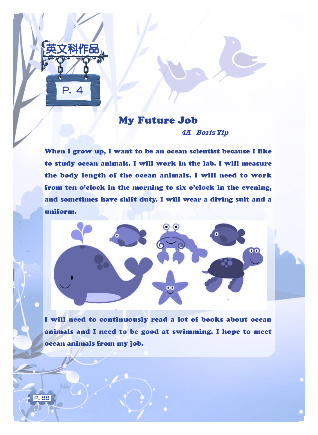

P. 88

## My Future Job **4A Boris Yip**

When I grow up, I want to be an ocean scientist because I like to study ocean animals. I will work in the lab. I will measure the body length of the ocean animals. I will need to work from ten o'clock in the morning to six o'clock in the evening, and sometimes have shift duty. I will wear a diving suit and a uniform.



I will need to continuously read a lot of books about ocean animals and I need to be good at swimming. I hope to meet ocean animals from my job.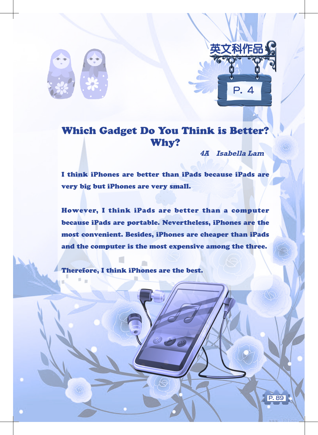

# Which Gadget Do You Think is Better? Why?

**4A Isabella Lam**

P. 4

英文科作品

P. 89

I think iPhones are better than iPads because iPads are very big but iPhones are very small.

However, I think iPads are better than a computer because iPads are portable. Nevertheless, iPhones are the most convenient. Besides, iPhones are cheaper than iPads and the computer is the most expensive among the three.

Therefore, I think iPhones are the best.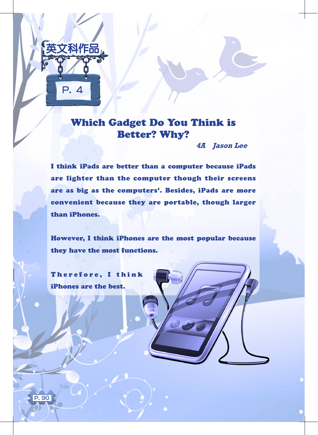

# Which Gadget Do You Think is Better? Why?

**4A Jason Lee**

I think iPads are better than a computer because iPads are lighter than the computer though their screens are as big as the computers'. Besides, iPads are more convenient because they are portable, though larger than iPhones.

However, I think iPhones are the most popular because they have the most functions.

 $\bigotimes$ 

Therefore, I think iPhones are the best.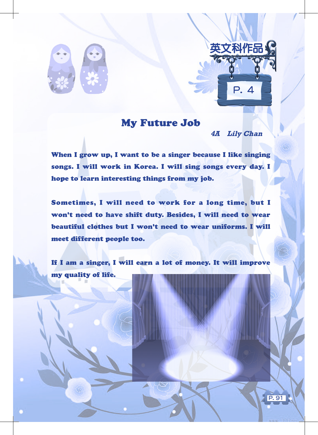



### My Future Job

**4A Lily Chan**

P. 91

When I grow up, I want to be a singer because I like singing songs. I will work in Korea. I will sing songs every day. I hope to learn interesting things from my job.

Sometimes, I will need to work for a long time, but I won't need to have shift duty. Besides, I will need to wear beautiful clothes but I won't need to wear uniforms. I will meet different people too.

If I am a singer, I will earn a lot of money. It will improve my quality of life.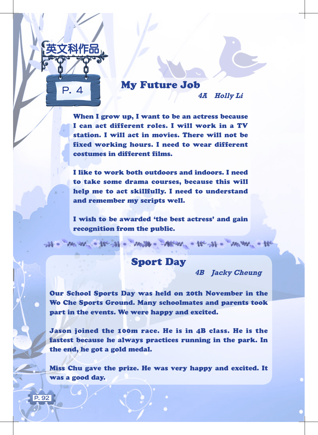

P. 92

# My Future Job

**4A Holly Li**

When I grow up, I want to be an actress because I can act different roles. I will work in a TV station. I will act in movies. There will not be fixed working hours. I need to wear different costumes in different films.

I like to work both outdoors and indoors. I need to take some drama courses, because this will help me to act skillfully. I need to understand and remember my scripts well.

I wish to be awarded 'the best actress' and gain recognition from the public.

Sport Day

of - we will a fe-st - well - Many - the st - we we - the

**4B Jacky Cheung**

Our School Sports Day was held on 20th November in the Wo Che Sports Ground. Many schoolmates and parents took part in the events. We were happy and excited.

Jason joined the 100m race. He is in 4B class. He is the fastest because he always practices running in the park. In the end, he got a gold medal.

Miss Chu gave the prize. He was very happy and excited. It was a good day.